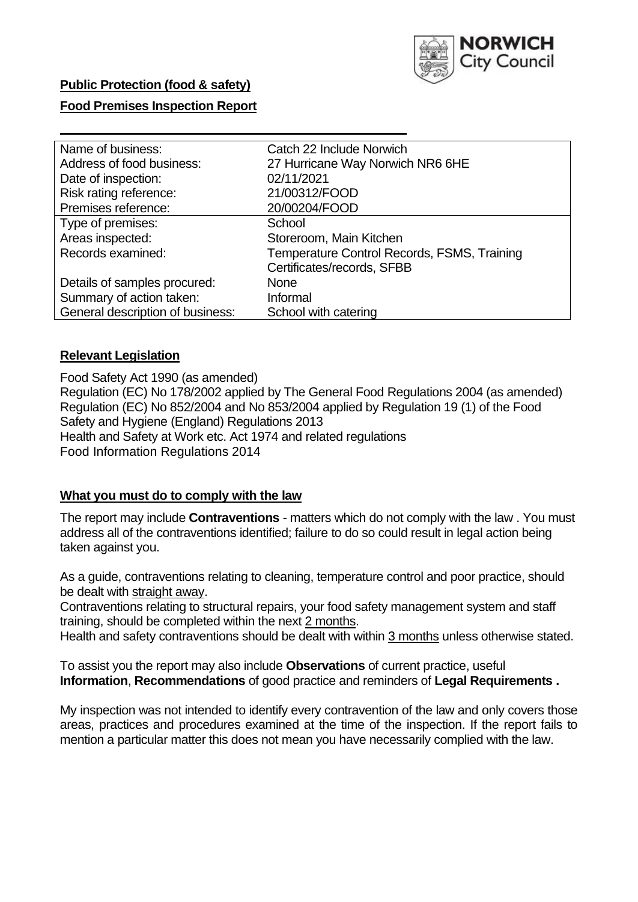

# **Public Protection (food & safety)**

### **Food Premises Inspection Report**

| Name of business:                | Catch 22 Include Norwich                    |
|----------------------------------|---------------------------------------------|
| Address of food business:        | 27 Hurricane Way Norwich NR6 6HE            |
| Date of inspection:              | 02/11/2021                                  |
| Risk rating reference:           | 21/00312/FOOD                               |
| Premises reference:              | 20/00204/FOOD                               |
| Type of premises:                | School                                      |
| Areas inspected:                 | Storeroom, Main Kitchen                     |
| Records examined:                | Temperature Control Records, FSMS, Training |
|                                  | Certificates/records, SFBB                  |
| Details of samples procured:     | None                                        |
| Summary of action taken:         | Informal                                    |
| General description of business: | School with catering                        |

#### **Relevant Legislation**

 Food Safety Act 1990 (as amended) Regulation (EC) No 178/2002 applied by The General Food Regulations 2004 (as amended) Regulation (EC) No 852/2004 and No 853/2004 applied by Regulation 19 (1) of the Food Safety and Hygiene (England) Regulations 2013 Health and Safety at Work etc. Act 1974 and related regulations Food Information Regulations 2014

#### **What you must do to comply with the law**

 The report may include **Contraventions** - matters which do not comply with the law . You must address all of the contraventions identified; failure to do so could result in legal action being taken against you.

 As a guide, contraventions relating to cleaning, temperature control and poor practice, should be dealt with straight away.

 Contraventions relating to structural repairs, your food safety management system and staff training, should be completed within the next 2 months.

Health and safety contraventions should be dealt with within 3 months unless otherwise stated.

 To assist you the report may also include **Observations** of current practice, useful **Information**, **Recommendations** of good practice and reminders of **Legal Requirements .** 

 My inspection was not intended to identify every contravention of the law and only covers those areas, practices and procedures examined at the time of the inspection. If the report fails to mention a particular matter this does not mean you have necessarily complied with the law.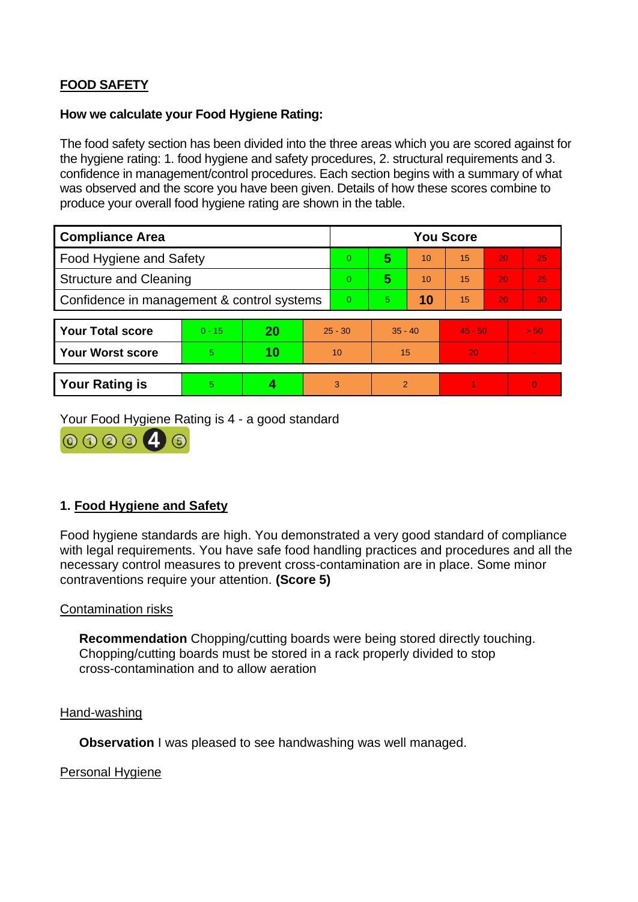# **FOOD SAFETY**

### **How we calculate your Food Hygiene Rating:**

 The food safety section has been divided into the three areas which you are scored against for the hygiene rating: 1. food hygiene and safety procedures, 2. structural requirements and 3. confidence in management/control procedures. Each section begins with a summary of what was observed and the score you have been given. Details of how these scores combine to produce your overall food hygiene rating are shown in the table.

| <b>Compliance Area</b>                     |          |    |           | <b>You Score</b> |                |    |           |    |          |  |  |
|--------------------------------------------|----------|----|-----------|------------------|----------------|----|-----------|----|----------|--|--|
| Food Hygiene and Safety                    |          |    |           | $\overline{0}$   | 5              | 10 | 15        | 20 | 25       |  |  |
| <b>Structure and Cleaning</b>              |          |    | $\Omega$  | 5                | 10             | 15 | 20        | 25 |          |  |  |
| Confidence in management & control systems |          |    | $\Omega$  | 5                | 10             | 15 | 20        | 30 |          |  |  |
|                                            |          |    |           |                  |                |    |           |    |          |  |  |
| <b>Your Total score</b>                    | $0 - 15$ | 20 | $25 - 30$ |                  | $35 - 40$      |    | $45 - 50$ |    | > 50     |  |  |
| <b>Your Worst score</b>                    | 5        | 10 | 10        |                  | 15             |    | 20        |    |          |  |  |
|                                            |          |    |           |                  |                |    |           |    |          |  |  |
| <b>Your Rating is</b>                      | 5        |    |           | 3                | $\overline{2}$ |    |           |    | $\Omega$ |  |  |

Your Food Hygiene Rating is 4 - a good standard



# **1. Food Hygiene and Safety**

 with legal requirements. You have safe food handling practices and procedures and all the Food hygiene standards are high. You demonstrated a very good standard of compliance necessary control measures to prevent cross-contamination are in place. Some minor contraventions require your attention. **(Score 5)** 

#### Contamination risks

 Chopping/cutting boards must be stored in a rack properly divided to stop **Recommendation** Chopping/cutting boards were being stored directly touching. cross-contamination and to allow aeration

Hand-washing

**Observation** I was pleased to see handwashing was well managed.

#### Personal Hygiene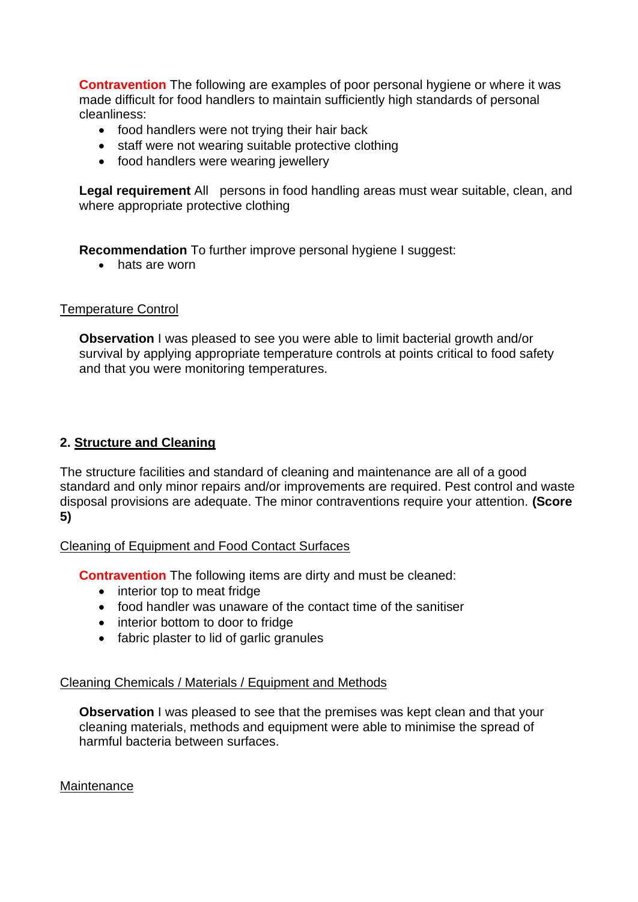made difficult for food handlers to maintain sufficiently high standards of personal **Contravention** The following are examples of poor personal hygiene or where it was cleanliness:

- food handlers were not trying their hair back
- staff were not wearing suitable protective clothing
- food handlers were wearing jewellery

Legal requirement All persons in food handling areas must wear suitable, clean, and where appropriate protective clothing

**Recommendation** To further improve personal hygiene I suggest:

• hats are worn

# Temperature Control

**Observation I** was pleased to see you were able to limit bacterial growth and/or survival by applying appropriate temperature controls at points critical to food safety and that you were monitoring temperatures.

# **2. Structure and Cleaning**

 The structure facilities and standard of cleaning and maintenance are all of a good standard and only minor repairs and/or improvements are required. Pest control and waste disposal provisions are adequate. The minor contraventions require your attention. **(Score 5)** 

# Cleaning of Equipment and Food Contact Surfaces

**Contravention** The following items are dirty and must be cleaned:

- interior top to meat fridge
- food handler was unaware of the contact time of the sanitiser
- interior bottom to door to fridge
- fabric plaster to lid of garlic granules

# Cleaning Chemicals / Materials / Equipment and Methods

**Observation** I was pleased to see that the premises was kept clean and that your cleaning materials, methods and equipment were able to minimise the spread of harmful bacteria between surfaces.

# Maintenance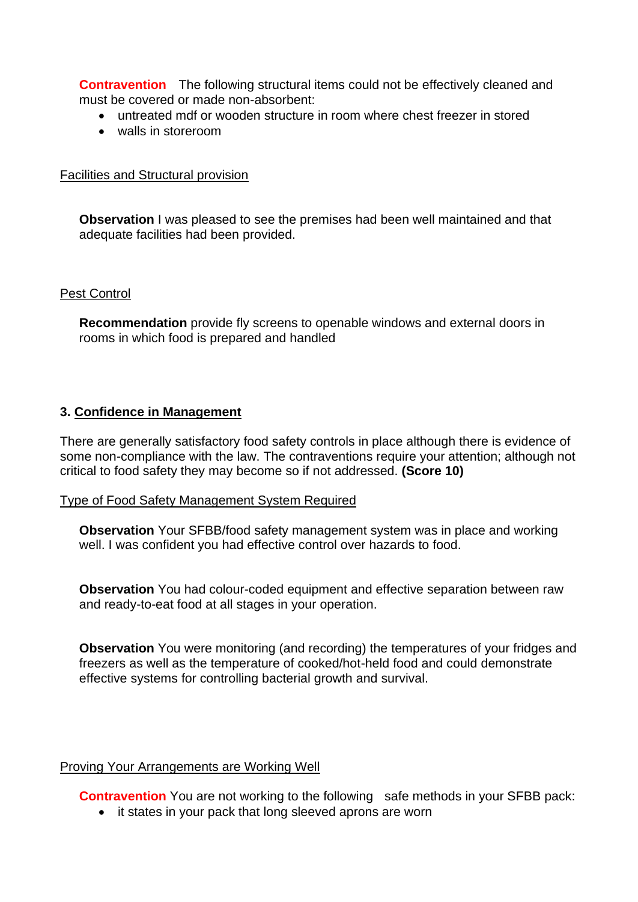**Contravention** The following structural items could not be effectively cleaned and must be covered or made non-absorbent:

- untreated mdf or wooden structure in room where chest freezer in stored
- walls in storeroom

#### Facilities and Structural provision

 **Observation** I was pleased to see the premises had been well maintained and that adequate facilities had been provided.

#### Pest Control

**Recommendation** provide fly screens to openable windows and external doors in rooms in which food is prepared and handled

#### **3. Confidence in Management**

 There are generally satisfactory food safety controls in place although there is evidence of some non-compliance with the law. The contraventions require your attention; although not critical to food safety they may become so if not addressed. **(Score 10)** 

#### Type of Food Safety Management System Required

**Observation** Your SFBB/food safety management system was in place and working well. I was confident you had effective control over hazards to food.

**Observation** You had colour-coded equipment and effective separation between raw and ready-to-eat food at all stages in your operation.

**Observation** You were monitoring (and recording) the temperatures of your fridges and freezers as well as the temperature of cooked/hot-held food and could demonstrate effective systems for controlling bacterial growth and survival.

# Proving Your Arrangements are Working Well

**Contravention** You are not working to the following safe methods in your SFBB pack:

• it states in your pack that long sleeved aprons are worn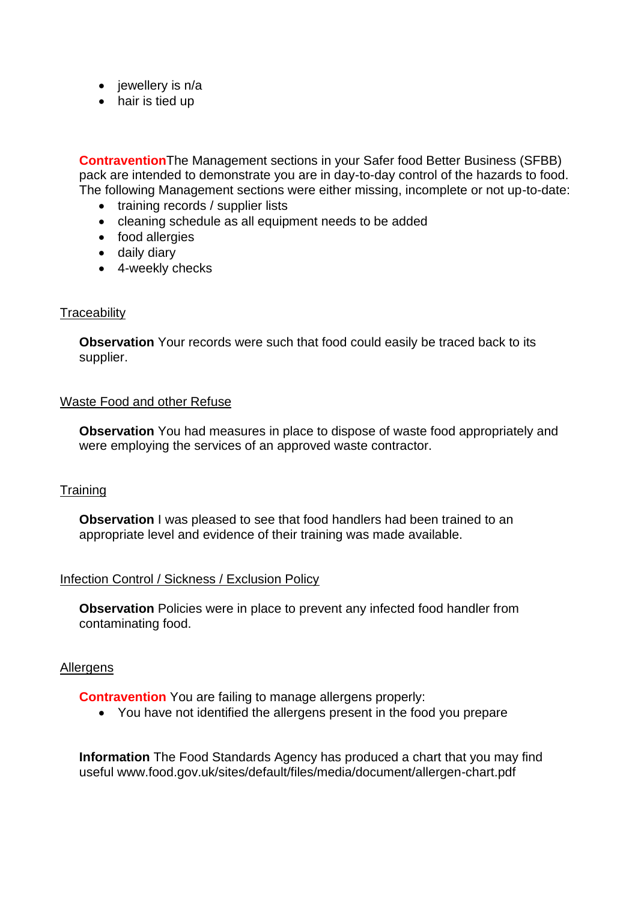- jewellery is n/a
- hair is tied up

**Contravention**The Management sections in your Safer food Better Business (SFBB) pack are intended to demonstrate you are in day-to-day control of the hazards to food. The following Management sections were either missing, incomplete or not up-to-date:

- training records / supplier lists
- cleaning schedule as all equipment needs to be added
- food allergies
- daily diary
- 4-weekly checks

#### **Traceability**

**Observation** Your records were such that food could easily be traced back to its supplier.

#### Waste Food and other Refuse

 **Observation** You had measures in place to dispose of waste food appropriately and were employing the services of an approved waste contractor.

# **Training**

**Observation** I was pleased to see that food handlers had been trained to an appropriate level and evidence of their training was made available.

# Infection Control / Sickness / Exclusion Policy

**Observation** Policies were in place to prevent any infected food handler from contaminating food.

#### Allergens

**Contravention** You are failing to manage allergens properly:

• You have not identified the allergens present in the food you prepare

 **Information** The Food Standards Agency has produced a chart that you may find useful <www.food.gov.uk/sites/default/files/media/document/allergen-chart.pdf>